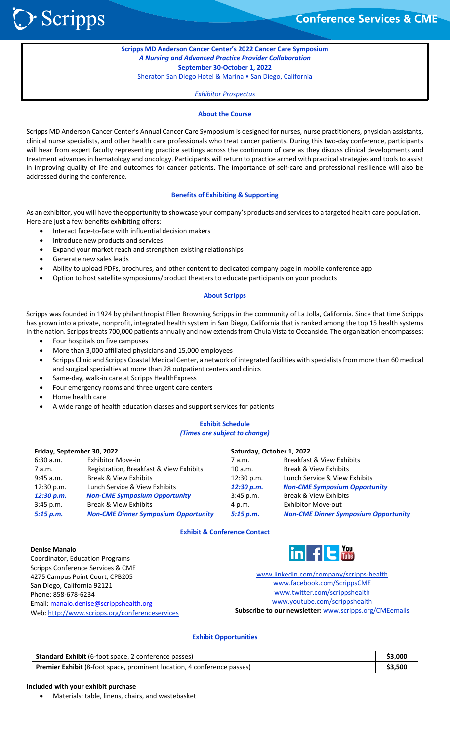**Conference Services & CME** 

**Scripps MD Anderson Cancer Center's 2022 Cancer Care Symposium** *A Nursing and Advanced Practice Provider Collaboration* **September 30-October 1, 2022** Sheraton San Diego Hotel & Marina • San Diego, California

*Exhibitor Prospectus*

#### **About the Course**

Scripps MD Anderson Cancer Center's Annual Cancer Care Symposium is designed for nurses, nurse practitioners, physician assistants, clinical nurse specialists, and other health care professionals who treat cancer patients. During this two-day conference, participants will hear from expert faculty representing practice settings across the continuum of care as they discuss clinical developments and treatment advances in hematology and oncology. Participants will return to practice armed with practical strategies and tools to assist in improving quality of life and outcomes for cancer patients. The importance of self-care and professional resilience will also be addressed during the conference.

#### **Benefits of Exhibiting & Supporting**

As an exhibitor, you will have the opportunity to showcase your company's products and services to a targeted health care population. Here are just a few benefits exhibiting offers:

- Interact face-to-face with influential decision makers
- Introduce new products and services
- Expand your market reach and strengthen existing relationships
- Generate new sales leads

> Scripps

- Ability to upload PDFs, brochures, and other content to dedicated company page in mobile conference app
- Option to host satellite symposiums/product theaters to educate participants on your products

#### **About Scripps**

Scripps was founded in 1924 by philanthropist Ellen Browning Scripps in the community of La Jolla, California. Since that time Scripps has grown into a private, nonprofit, integrated health system in San Diego, California that is ranked among the top 15 health systems in the nation. Scripps treats 700,000 patients annually and now extends from Chula Vista to Oceanside. The organization encompasses:

- Four hospitals on five campuses
- More than 3,000 affiliated physicians and 15,000 employees
- Scripps Clinic and Scripps Coastal Medical Center, a network of integrated facilities with specialists from more than 60 medical and surgical specialties at more than 28 outpatient centers and clinics
- Same-day, walk-in care at Scripps HealthExpress
- Four emergency rooms and three urgent care centers
- Home health care
- A wide range of health education classes and support services for patients

## **Exhibit Schedule** *(Times are subject to change)*

**Saturday, October 1, 2022**

#### **Friday, September 30, 2022**

| 6:30 a.m.   | <b>Exhibitor Move-in</b>                    | 7 a.m.      | Breakfast & View Exhibits                   |
|-------------|---------------------------------------------|-------------|---------------------------------------------|
| 7 a.m.      | Registration, Breakfast & View Exhibits     | 10 a.m.     | Break & View Exhibits                       |
| $9:45$ a.m. | Break & View Exhibits                       | 12:30 p.m.  | Lunch Service & View Exhibits               |
| 12:30 p.m.  | Lunch Service & View Exhibits               | 12:30 p.m.  | <b>Non-CME Symposium Opportunity</b>        |
| 12:30 p.m.  | <b>Non-CME Symposium Opportunity</b>        | $3:45$ p.m. | Break & View Exhibits                       |
| $3:45$ p.m. | Break & View Exhibits                       | 4 p.m.      | <b>Exhibitor Move-out</b>                   |
| 5:15 p.m.   | <b>Non-CME Dinner Symposium Opportunity</b> | 5:15 p.m.   | <b>Non-CME Dinner Symposium Opportunity</b> |
|             |                                             |             |                                             |

#### **Exhibit & Conference Contact**

#### **Denise Manalo**

Coordinator, Education Programs Scripps Conference Services & CME 4275 Campus Point Court, CPB205 San Diego, California 92121 Phone: 858-678-6234 Email: [manalo.denise@scrippshealth.org](mailto:manalo.denise@scrippshealth.org) Web[: http://www.scripps.org/conferenceservices](http://www.scripps.org/conferenceservices)

# **You**

[www.linkedin.com/company/scripps-health](http://www.linkedin.com/company/scripps-health) [www.facebook.com/ScrippsCME](http://www.facebook.com/ScrippsCME) [www.twitter.com/scrippshealth](http://www.twitter.com/scrippshealth) [www.youtube.com/scrippshealth](https://mail.scripps.org/exchweb/bin/redir.asp?URL=http://www.youtube.com/scrippshealth) **Subscribe to our newsletter:** [www.scripps.org/CMEemails](http://www.scripps.org/CMEemails)

#### **Exhibit Opportunities**

| Standard Exhibit (6-foot space, 2 conference passes)                    |         |
|-------------------------------------------------------------------------|---------|
| Premier Exhibit (8-foot space, prominent location, 4 conference passes) | \$3,500 |

#### **Included with your exhibit purchase**

• Materials: table, linens, chairs, and wastebasket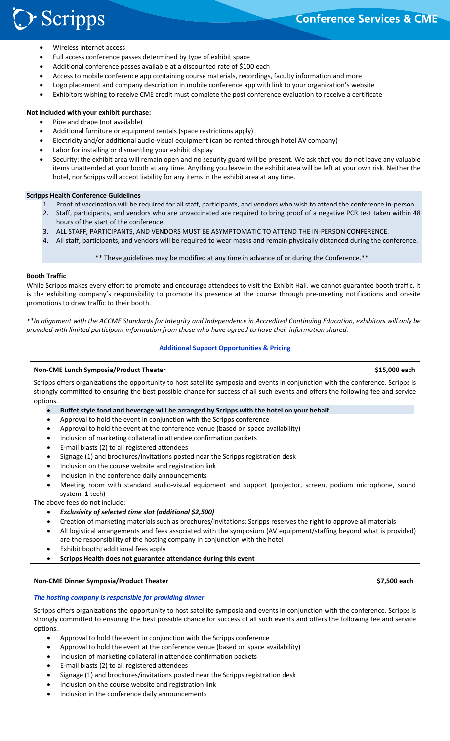# **Conference Services & CME**

- > Scripps
	- Wireless internet access
	- Full access conference passes determined by type of exhibit space
	- Additional conference passes available at a discounted rate of \$100 each
	- Access to mobile conference app containing course materials, recordings, faculty information and more
	- Logo placement and company description in mobile conference app with link to your organization's website
	- Exhibitors wishing to receive CME credit must complete the post conference evaluation to receive a certificate

# **Not included with your exhibit purchase:**

- Pipe and drape (not available)
- Additional furniture or equipment rentals (space restrictions apply)
- Electricity and/or additional audio-visual equipment (can be rented through hotel AV company)
- Labor for installing or dismantling your exhibit display
- Security: the exhibit area will remain open and no security guard will be present. We ask that you do not leave any valuable items unattended at your booth at any time. Anything you leave in the exhibit area will be left at your own risk. Neither the hotel, nor Scripps will accept liability for any items in the exhibit area at any time.

# **Scripps Health Conference Guidelines**

- 1. Proof of vaccination will be required for all staff, participants, and vendors who wish to attend the conference in-person.
- 2. Staff, participants, and vendors who are unvaccinated are required to bring proof of a negative PCR test taken within 48 hours of the start of the conference.
- 3. ALL STAFF, PARTICIPANTS, AND VENDORS MUST BE ASYMPTOMATIC TO ATTEND THE IN-PERSON CONFERENCE.
- 4. All staff, participants, and vendors will be required to wear masks and remain physically distanced during the conference.

\*\* These guidelines may be modified at any time in advance of or during the Conference.\*\*

# **Booth Traffic**

While Scripps makes every effort to promote and encourage attendees to visit the Exhibit Hall, we cannot guarantee booth traffic. It is the exhibiting company's responsibility to promote its presence at the course through pre-meeting notifications and on-site promotions to draw traffic to their booth.

*\*\*In alignment with the ACCME Standards for Integrity and Independence in Accredited Continuing Education, exhibitors will only be provided with limited participant information from those who have agreed to have their information shared.*

# **Additional Support Opportunities & Pricing**

# **Non-CME Lunch Symposia/Product Theater \$15,000 each** Scripps offers organizations the opportunity to host satellite symposia and events in conjunction with the conference. Scripps is strongly committed to ensuring the best possible chance for success of all such events and offers the following fee and service options. • **Buffet style food and beverage will be arranged by Scripps with the hotel on your behalf** • Approval to hold the event in conjunction with the Scripps conference

- 
- Approval to hold the event at the conference venue (based on space availability)
- Inclusion of marketing collateral in attendee confirmation packets
- E-mail blasts (2) to all registered attendees
- Signage (1) and brochures/invitations posted near the Scripps registration desk
- Inclusion on the course website and registration link
- Inclusion in the conference daily announcements
- Meeting room with standard audio-visual equipment and support (projector, screen, podium microphone, sound system, 1 tech)

The above fees do not include:

- *Exclusivity of selected time slot (additional \$2,500)*
- Creation of marketing materials such as brochures/invitations; Scripps reserves the right to approve all materials
- All logistical arrangements and fees associated with the symposium (AV equipment/staffing beyond what is provided) are the responsibility of the hosting company in conjunction with the hotel
- Exhibit booth; additional fees apply
- **Scripps Health does not guarantee attendance during this event**

# **Non-CME Dinner Symposia/Product Theater \$7,500 each**

*The hosting company is responsible for providing dinner*

Scripps offers organizations the opportunity to host satellite symposia and events in conjunction with the conference. Scripps is strongly committed to ensuring the best possible chance for success of all such events and offers the following fee and service options.

- Approval to hold the event in conjunction with the Scripps conference
- Approval to hold the event at the conference venue (based on space availability)
- Inclusion of marketing collateral in attendee confirmation packets
- E-mail blasts (2) to all registered attendees
- Signage (1) and brochures/invitations posted near the Scripps registration desk
- Inclusion on the course website and registration link
- Inclusion in the conference daily announcements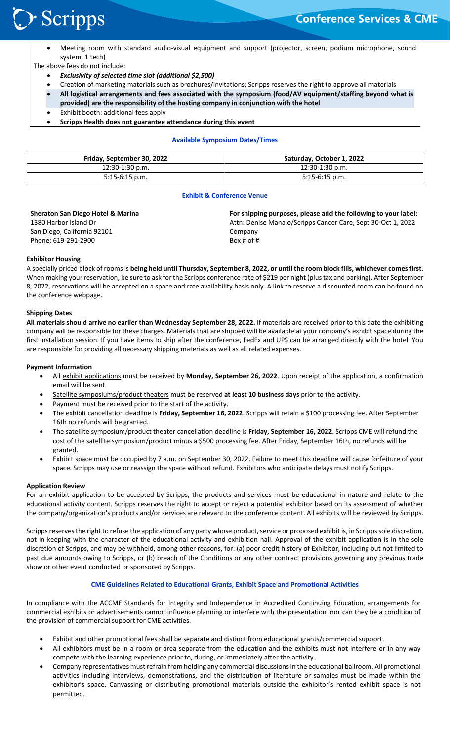

• Meeting room with standard audio-visual equipment and support (projector, screen, podium microphone, sound system, 1 tech)

The above fees do not include:

- *Exclusivity of selected time slot (additional \$2,500)*
- Creation of marketing materials such as brochures/invitations; Scripps reserves the right to approve all materials
- **All logistical arrangements and fees associated with the symposium (food/AV equipment/staffing beyond what is provided) are the responsibility of the hosting company in conjunction with the hotel**
- Exhibit booth: additional fees apply
- **Scripps Health does not guarantee attendance during this event**

#### **Available Symposium Dates/Times**

| Friday, September 30, 2022 | Saturday, October 1, 2022 |
|----------------------------|---------------------------|
| 12:30-1:30 p.m.            | 12:30-1:30 p.m.           |
| $5:15-6:15$ p.m.           | $5:15-6:15$ p.m.          |

#### **Exhibit & Conference Venue**

| <b>Sheraton San Diego Hotel &amp; Marina</b> | For shipping purposes, please add the following to your label: |
|----------------------------------------------|----------------------------------------------------------------|
| 1380 Harbor Island Dr                        | Attn: Denise Manalo/Scripps Cancer Care, Sept 30-Oct 1, 2022   |
| San Diego, California 92101                  | Company                                                        |
| Phone: 619-291-2900                          | Box # of $#$                                                   |

#### **Exhibitor Housing**

A specially priced block of rooms is **being held until Thursday, September 8, 2022, or until the room block fills, whichever comes first**. When making your reservation, be sure to ask for the Scripps conference rate of \$219 per night (plus tax and parking). After September 8, 2022, reservations will be accepted on a space and rate availability basis only. A link to reserve a discounted room can be found on the conference webpage.

#### **Shipping Dates**

**All materials should arrive no earlier than Wednesday September 28, 2022.** If materials are received prior to this date the exhibiting company will be responsible for these charges. Materials that are shipped will be available at your company's exhibit space during the first installation session. If you have items to ship after the conference, FedEx and UPS can be arranged directly with the hotel. You are responsible for providing all necessary shipping materials as well as all related expenses.

#### **Payment Information**

- All exhibit applications must be received by **Monday, September 26, 2022**. Upon receipt of the application, a confirmation email will be sent.
- Satellite symposiums/product theaters must be reserved **at least 10 business days** prior to the activity.
- Payment must be received prior to the start of the activity.
- The exhibit cancellation deadline is **Friday, September 16, 2022**. Scripps will retain a \$100 processing fee. After September 16th no refunds will be granted.
- The satellite symposium/product theater cancellation deadline is **Friday, September 16, 2022**. Scripps CME will refund the cost of the satellite symposium/product minus a \$500 processing fee. After Friday, September 16th, no refunds will be granted.
- Exhibit space must be occupied by 7 a.m. on September 30, 2022. Failure to meet this deadline will cause forfeiture of your space. Scripps may use or reassign the space without refund. Exhibitors who anticipate delays must notify Scripps.

#### **Application Review**

For an exhibit application to be accepted by Scripps, the products and services must be educational in nature and relate to the educational activity content. Scripps reserves the right to accept or reject a potential exhibitor based on its assessment of whether the company/organization's products and/or services are relevant to the conference content. All exhibits will be reviewed by Scripps.

Scripps reserves the right to refuse the application of any party whose product, service or proposed exhibit is, in Scripps sole discretion, not in keeping with the character of the educational activity and exhibition hall. Approval of the exhibit application is in the sole discretion of Scripps, and may be withheld, among other reasons, for: (a) poor credit history of Exhibitor, including but not limited to past due amounts owing to Scripps, or (b) breach of the Conditions or any other contract provisions governing any previous trade show or other event conducted or sponsored by Scripps.

# **CME Guidelines Related to Educational Grants, Exhibit Space and Promotional Activities**

In compliance with the ACCME Standards for Integrity and Independence in Accredited Continuing Education, arrangements for commercial exhibits or advertisements cannot influence planning or interfere with the presentation, nor can they be a condition of the provision of commercial support for CME activities.

- Exhibit and other promotional fees shall be separate and distinct from educational grants/commercial support.
- All exhibitors must be in a room or area separate from the education and the exhibits must not interfere or in any way compete with the learning experience prior to, during, or immediately after the activity.
- Company representatives must refrain from holding any commercial discussions in the educational ballroom. All promotional activities including interviews, demonstrations, and the distribution of literature or samples must be made within the exhibitor's space. Canvassing or distributing promotional materials outside the exhibitor's rented exhibit space is not permitted.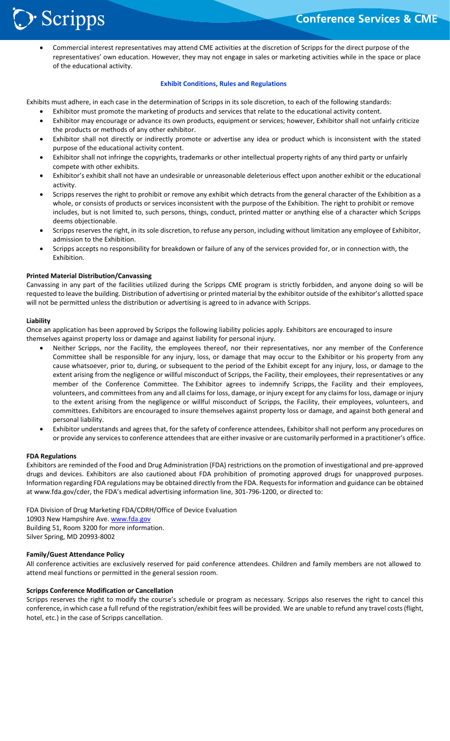

• Commercial interest representatives may attend CME activities at the discretion of Scripps for the direct purpose of the representatives' own education. However, they may not engage in sales or marketing activities while in the space or place of the educational activity.

# **Exhibit Conditions, Rules and Regulations**

Exhibits must adhere, in each case in the determination of Scripps in its sole discretion, to each of the following standards:

- Exhibitor must promote the marketing of products and services that relate to the educational activity content.
- Exhibitor may encourage or advance its own products, equipment or services; however, Exhibitor shall not unfairly criticize the products or methods of any other exhibitor.
- Exhibitor shall not directly or indirectly promote or advertise any idea or product which is inconsistent with the stated purpose of the educational activity content.
- Exhibitor shall not infringe the copyrights, trademarks or other intellectual property rights of any third party or unfairly compete with other exhibits.
- Exhibitor's exhibit shall not have an undesirable or unreasonable deleterious effect upon another exhibit or the educational activity.
- Scripps reserves the right to prohibit or remove any exhibit which detracts from the general character of the Exhibition as a whole, or consists of products or services inconsistent with the purpose of the Exhibition. The right to prohibit or remove includes, but is not limited to, such persons, things, conduct, printed matter or anything else of a character which Scripps deems objectionable.
- Scripps reserves the right, in its sole discretion, to refuse any person, including without limitation any employee of Exhibitor, admission to the Exhibition.
- Scripps accepts no responsibility for breakdown or failure of any of the services provided for, or in connection with, the Exhibition.

#### **Printed Material Distribution/Canvassing**

Canvassing in any part of the facilities utilized during the Scripps CME program is strictly forbidden, and anyone doing so will be requested to leave the building. Distribution of advertising or printed material by the exhibitor outside of the exhibitor's allotted space will not be permitted unless the distribution or advertising is agreed to in advance with Scripps.

#### **Liability**

Once an application has been approved by Scripps the following liability policies apply. Exhibitors are encouraged to insure themselves against property loss or damage and against liability for personal injury.

- Neither Scripps, nor the Facility, the employees thereof, nor their representatives, nor any member of the Conference Committee shall be responsible for any injury, loss, or damage that may occur to the Exhibitor or his property from any cause whatsoever, prior to, during, or subsequent to the period of the Exhibit except for any injury, loss, or damage to the extent arising from the negligence or willful misconduct of Scripps, the Facility, their employees, their representatives or any member of the Conference Committee. The Exhibitor agrees to indemnify Scripps, the Facility and their employees, volunteers, and committees from any and all claims for loss, damage, or injury except for any claims for loss, damage or injury to the extent arising from the negligence or willful misconduct of Scripps, the Facility, their employees, volunteers, and committees. Exhibitors are encouraged to insure themselves against property loss or damage, and against both general and personal liability.
- Exhibitor understands and agrees that, for the safety of conference attendees, Exhibitor shall not perform any procedures on or provide any services to conference attendees that are either invasive or are customarily performed in a practitioner's office.

#### **FDA Regulations**

Exhibitors are reminded of the Food and Drug Administration (FDA) restrictions on the promotion of investigational and pre-approved drugs and devices. Exhibitors are also cautioned about FDA prohibition of promoting approved drugs for unapproved purposes. Information regarding FDA regulations may be obtained directly from the FDA. Requests for information and guidance can be obtained at www.fda.gov/cder, the FDA's medical advertising information line, 301-796-1200, or directed to:

FDA Division of Drug Marketing FDA/CDRH/Office of Device Evaluation 10903 New Hampshire Ave. [www.fda.gov](http://www.fda.gov/) Building 51, Room 3200 for more information. Silver Spring, MD 20993-8002

#### **Family/Guest Attendance Policy**

All conference activities are exclusively reserved for paid conference attendees. Children and family members are not allowed to attend meal functions or permitted in the general session room.

#### **Scripps Conference Modification or Cancellation**

Scripps reserves the right to modify the course's schedule or program as necessary. Scripps also reserves the right to cancel this conference, in which case a full refund of the registration/exhibit fees will be provided. We are unable to refund any travel costs (flight, hotel, etc.) in the case of Scripps cancellation.